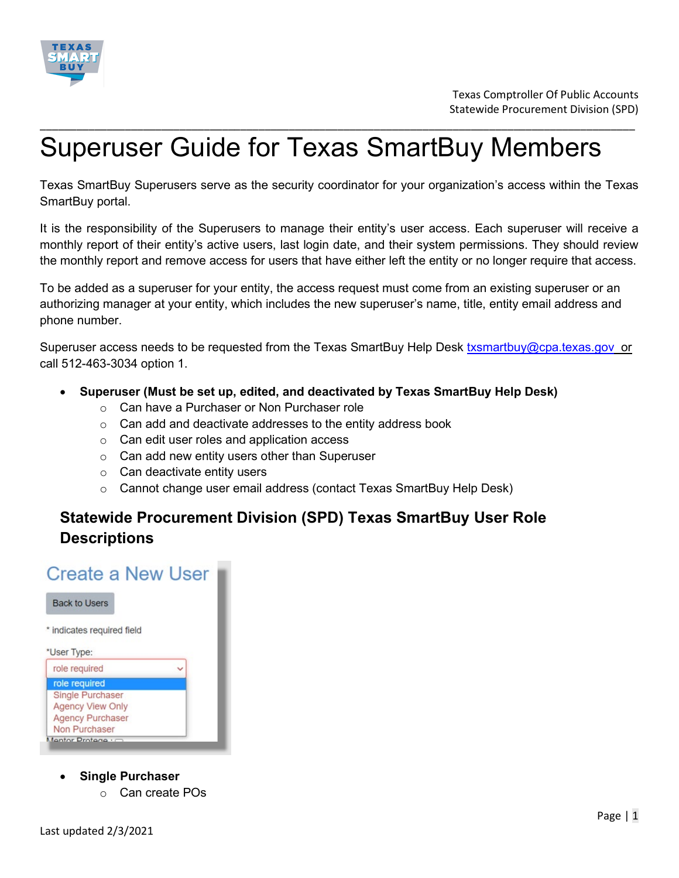

# Superuser Guide for Texas SmartBuy Members

Texas SmartBuy Superusers serve as the security coordinator for your organization's access within the Texas SmartBuy portal.

\_\_\_\_\_\_\_\_\_\_\_\_\_\_\_\_\_\_\_\_\_\_\_\_\_\_\_\_\_\_\_\_\_\_\_\_\_\_\_\_\_\_\_\_\_\_\_\_\_\_\_\_\_\_\_\_\_\_\_\_\_\_\_\_\_\_\_\_\_\_\_\_\_\_\_\_\_\_\_\_\_\_\_\_\_\_\_\_\_\_\_\_\_\_\_\_\_\_

It is the responsibility of the Superusers to manage their entity's user access. Each superuser will receive a monthly report of their entity's active users, last login date, and their system permissions. They should review the monthly report and remove access for users that have either left the entity or no longer require that access.

To be added as a superuser for your entity, the access request must come from an existing superuser or an authorizing manager at your entity, which includes the new superuser's name, title, entity email address and phone number.

Superuser access needs to be requested from the Texas SmartBuy Help Desk [txsmartbuy@cpa.texas.gov](mailto:txsmartbuy@cpa.texas.gov) or call 512-463-3034 option 1.

- **Superuser (Must be set up, edited, and deactivated by Texas SmartBuy Help Desk)**
	- o Can have a Purchaser or Non Purchaser role
	- $\circ$  Can add and deactivate addresses to the entity address book
	- o Can edit user roles and application access
	- o Can add new entity users other than Superuser
	- $\circ$  Can deactivate entity users
	- o Cannot change user email address (contact Texas SmartBuy Help Desk)

# **Statewide Procurement Division (SPD) Texas SmartBuy User Role Descriptions**

# **Create a New User**



- **Single Purchaser**
	- o Can create POs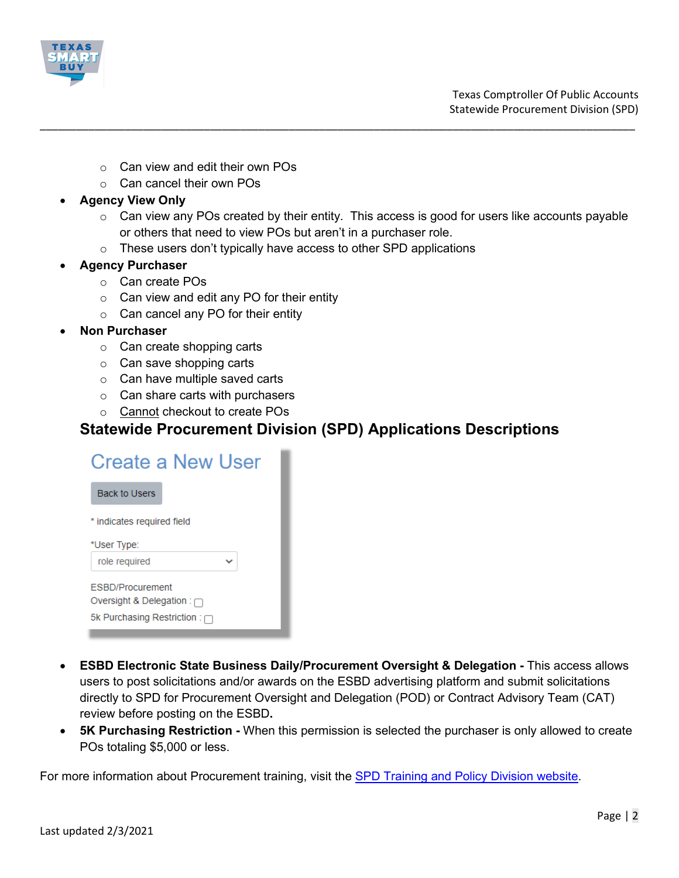

- $\circ$  Can view and edit their own POs
- o Can cancel their own POs

#### • **Agency View Only**

 $\circ$  Can view any POs created by their entity. This access is good for users like accounts payable or others that need to view POs but aren't in a purchaser role.

\_\_\_\_\_\_\_\_\_\_\_\_\_\_\_\_\_\_\_\_\_\_\_\_\_\_\_\_\_\_\_\_\_\_\_\_\_\_\_\_\_\_\_\_\_\_\_\_\_\_\_\_\_\_\_\_\_\_\_\_\_\_\_\_\_\_\_\_\_\_\_\_\_\_\_\_\_\_\_\_\_\_\_\_\_\_\_\_\_\_\_\_\_\_\_\_\_\_

o These users don't typically have access to other SPD applications

#### • **Agency Purchaser**

- o Can create POs
- $\circ$  Can view and edit any PO for their entity
- o Can cancel any PO for their entity
- **Non Purchaser**
	- o Can create shopping carts
	- $\circ$  Can save shopping carts
	- $\circ$  Can have multiple saved carts
	- $\circ$  Can share carts with purchasers
	- o Cannot checkout to create POs

# **Statewide Procurement Division (SPD) Applications Descriptions**

| Create a New User                  |
|------------------------------------|
| <b>Back to Users</b>               |
| * indicates required field         |
| *User Type:                        |
| role required                      |
| <b>FSBD/Procurement</b>            |
| Oversight & Delegation : $\Box$    |
| 5k Purchasing Restriction : $\Box$ |

- **ESBD Electronic State Business Daily/Procurement Oversight & Delegation -** This access allows users to post solicitations and/or awards on the ESBD advertising platform and submit solicitations directly to SPD for Procurement Oversight and Delegation (POD) or Contract Advisory Team (CAT) review before posting on the ESBD**.**
- **5K Purchasing Restriction -** When this permission is selected the purchaser is only allowed to create POs totaling \$5,000 or less.

For more information about Procurement training, visit the **SPD Training and Policy Division website**.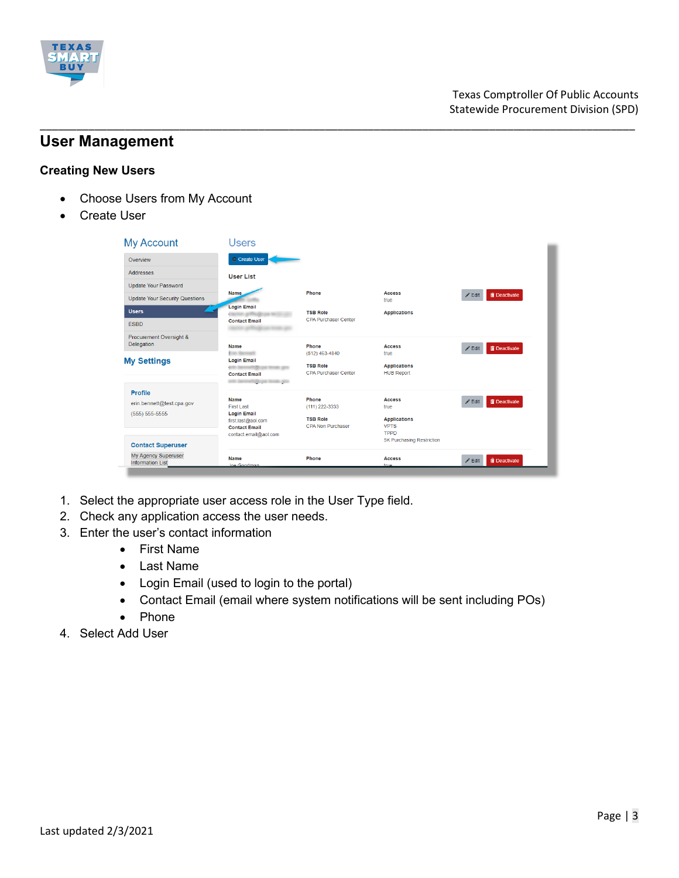

# **User Management**

#### **Creating New Users**

- Choose Users from My Account
- **Create User**

| <b>My Account</b>                              | Users                                                                                     |                                                                    |                                                                         |          |                       |
|------------------------------------------------|-------------------------------------------------------------------------------------------|--------------------------------------------------------------------|-------------------------------------------------------------------------|----------|-----------------------|
| Overview                                       | Create User                                                                               |                                                                    |                                                                         |          |                       |
| <b>Addresses</b>                               | <b>User List</b>                                                                          |                                                                    |                                                                         |          |                       |
| <b>Update Your Password</b>                    |                                                                                           |                                                                    |                                                                         |          |                       |
| <b>Update Your Security Questions</b>          | <b>Name</b>                                                                               | Phone                                                              | <b>Access</b><br>true                                                   | $Z$ Edit | <b>T</b> Deactivate   |
| <b>Users</b>                                   | <b>Login Email</b>                                                                        | <b>TSB Role</b>                                                    | <b>Applications</b>                                                     |          |                       |
| <b>ESBD</b>                                    | <b>Contact Email</b>                                                                      | <b>CPA Purchaser Center</b>                                        |                                                                         |          |                       |
| Procurement Oversight &<br>Delegation          | Name                                                                                      | Phone                                                              | <b>Access</b>                                                           | $Z$ Edit | <b>iii</b> Deactivate |
| <b>My Settings</b>                             | <b>Eric Se</b><br><b>Login Email</b><br><b>Contact Email</b><br><b>Ujicova texas pov</b>  | $(512)$ 463-4840<br><b>TSB Role</b><br><b>CPA Purchaser Center</b> | true<br><b>Applications</b><br><b>HUB Report</b>                        |          |                       |
| <b>Profile</b>                                 |                                                                                           |                                                                    |                                                                         |          |                       |
| erin.bennett@test.cpa.gov                      | <b>Name</b><br>First Last                                                                 | Phone<br>(111) 222-3333                                            | <b>Access</b><br>true                                                   | $Z$ Edit | <b>iii</b> Deactivate |
| $(555) 555-5555$                               | <b>Login Email</b><br>first.last@aol.com<br><b>Contact Email</b><br>contact.email@aol.com | <b>TSB Role</b><br><b>CPA Non Purchaser</b>                        | <b>Applications</b><br><b>VPTS</b><br>TPPD<br>5K Purchasing Restriction |          |                       |
| <b>Contact Superuser</b>                       |                                                                                           |                                                                    |                                                                         |          |                       |
| My Agency Superuser<br><b>Information List</b> | Name<br><b>Joe Coodman</b>                                                                | Phone                                                              | <b>Access</b><br>trup                                                   | $Z$ Edit | <b>iii</b> Deactivate |

\_\_\_\_\_\_\_\_\_\_\_\_\_\_\_\_\_\_\_\_\_\_\_\_\_\_\_\_\_\_\_\_\_\_\_\_\_\_\_\_\_\_\_\_\_\_\_\_\_\_\_\_\_\_\_\_\_\_\_\_\_\_\_\_\_\_\_\_\_\_\_\_\_\_\_\_\_\_\_\_\_\_\_\_\_\_\_\_\_\_\_\_\_\_\_\_\_\_

- 1. Select the appropriate user access role in the User Type field.
- 2. Check any application access the user needs.
- 3. Enter the user's contact information
	- First Name
	- Last Name
	- Login Email (used to login to the portal)
	- Contact Email (email where system notifications will be sent including POs)
	- Phone
- 4. Select Add User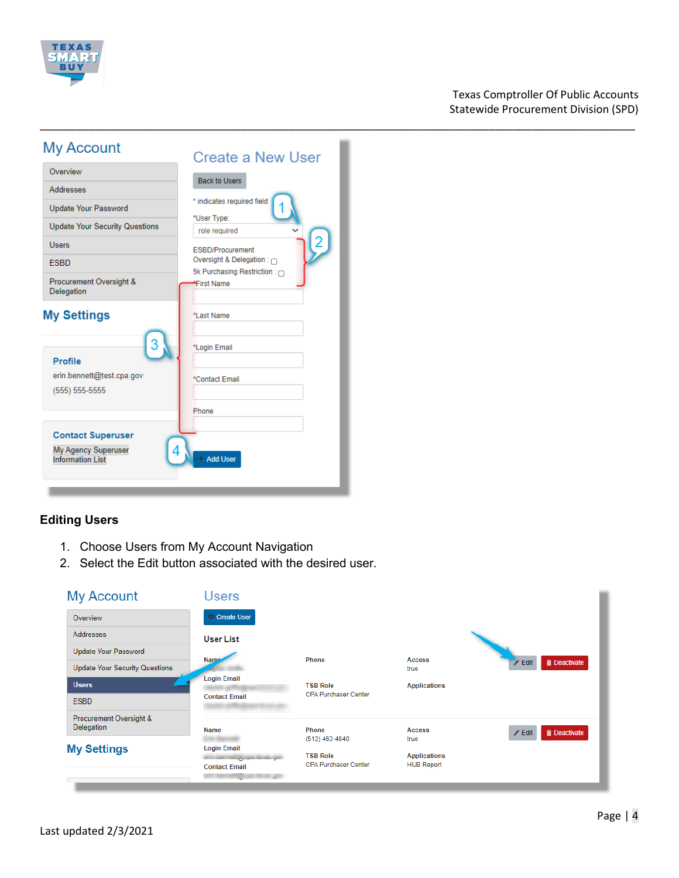

# My Account

| <b>IVIY ACCOUNT</b>                                                        | <b>Create a New User</b>                                       |
|----------------------------------------------------------------------------|----------------------------------------------------------------|
| Overview                                                                   | <b>Back to Users</b>                                           |
| Addresses                                                                  |                                                                |
| <b>Update Your Password</b>                                                | * indicates required field<br>*User Type:                      |
| <b>Update Your Security Questions</b>                                      | role required                                                  |
| <b>Users</b>                                                               | <b>ESBD/Procurement</b>                                        |
| <b>ESBD</b>                                                                | Oversight & Delegation: $\cap$<br>5k Purchasing Restriction: n |
| Procurement Oversight &<br>Delegation                                      | First Name                                                     |
| <b>My Settings</b>                                                         | *Last Name                                                     |
| <b>Profile</b>                                                             | *Login Email                                                   |
| erin.bennett@test.cpa.gov<br>$(555) 555-5555$                              | *Contact Email                                                 |
|                                                                            | Phone                                                          |
| <b>Contact Superuser</b><br>My Agency Superuser<br><b>Information List</b> | <b>Add User</b>                                                |

# **Editing Users**

- 1. Choose Users from My Account Navigation
- 2. Select the Edit button associated with the desired user.

| <b>My Account</b>                     | <b>Users</b>                                                                    |                                                |                                          |                                        |
|---------------------------------------|---------------------------------------------------------------------------------|------------------------------------------------|------------------------------------------|----------------------------------------|
| Overview                              | Create User                                                                     |                                                |                                          |                                        |
| Addresses                             | <b>User List</b>                                                                |                                                |                                          |                                        |
| Update Your Password                  | Nam <sub>c</sub>                                                                | Phone                                          | <b>Access</b>                            |                                        |
| <b>Update Your Security Questions</b> |                                                                                 |                                                | true                                     | <b>in</b> Deactivate<br>$Z$ Edit       |
| <b>Users</b>                          | <b>Login Email</b>                                                              | <b>TSB Role</b>                                | <b>Applications</b>                      |                                        |
| <b>ESBD</b>                           | <b>Contact Email</b>                                                            | <b>CPA Purchaser Center</b>                    |                                          |                                        |
| Procurement Oversight &<br>Delegation |                                                                                 |                                                |                                          |                                        |
|                                       | <b>Name</b>                                                                     | <b>Phone</b><br>$(512)$ 463-4840               | <b>Access</b><br>true                    | <b>iii</b> Deactivate<br>$\angle$ Edit |
| <b>My Settings</b>                    | <b>Login Email</b><br><b>Contract Contract Contract</b><br><b>Contact Email</b> | <b>TSB Role</b><br><b>CPA Purchaser Center</b> | <b>Applications</b><br><b>HUB Report</b> |                                        |

\_\_\_\_\_\_\_\_\_\_\_\_\_\_\_\_\_\_\_\_\_\_\_\_\_\_\_\_\_\_\_\_\_\_\_\_\_\_\_\_\_\_\_\_\_\_\_\_\_\_\_\_\_\_\_\_\_\_\_\_\_\_\_\_\_\_\_\_\_\_\_\_\_\_\_\_\_\_\_\_\_\_\_\_\_\_\_\_\_\_\_\_\_\_\_\_\_\_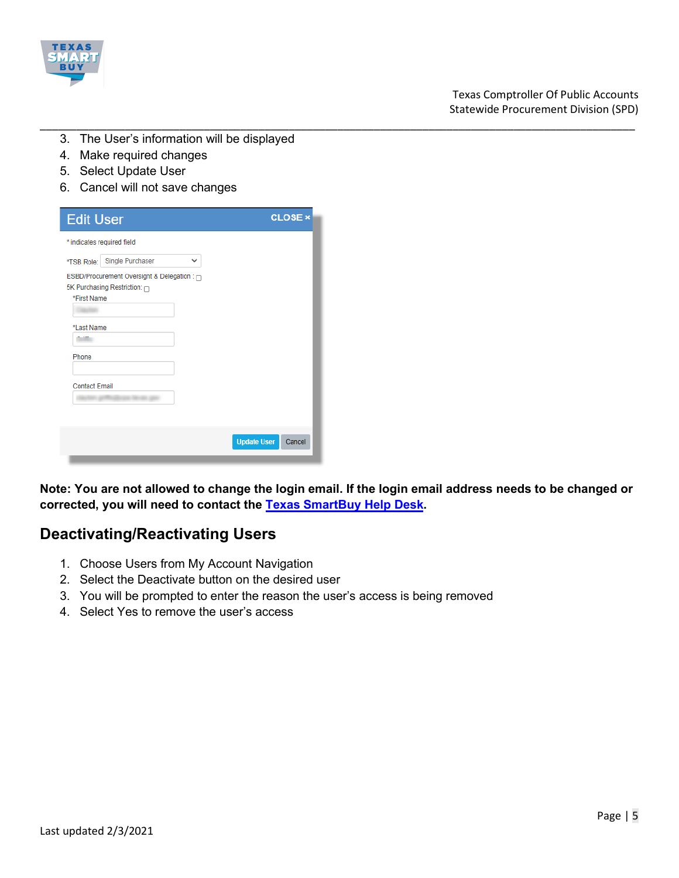

- \_\_\_\_\_\_\_\_\_\_\_\_\_\_\_\_\_\_\_\_\_\_\_\_\_\_\_\_\_\_\_\_\_\_\_\_\_\_\_\_\_\_\_\_\_\_\_\_\_\_\_\_\_\_\_\_\_\_\_\_\_\_\_\_\_\_\_\_\_\_\_\_\_\_\_\_\_\_\_\_\_\_\_\_\_\_\_\_\_\_\_\_\_\_\_\_\_\_ 3. The User's information will be displayed
	- 4. Make required changes
	- 5. Select Update User
	- 6. Cancel will not save changes

| <b>Edit User</b>                                                                           | <b>CLOSE</b> ×               |
|--------------------------------------------------------------------------------------------|------------------------------|
| * indicates required field                                                                 |                              |
| Single Purchaser<br>$\checkmark$<br>*TSB Role:                                             |                              |
| ESBD/Procurement Oversight & Delegation : 0<br>5K Purchasing Restriction: n<br>*First Name |                              |
| *Last Name                                                                                 |                              |
| Phone                                                                                      |                              |
| <b>Contact Email</b>                                                                       |                              |
|                                                                                            | <b>Update User</b><br>Cancel |

**Note: You are not allowed to change the login email. If the login email address needs to be changed or corrected, you will need to contact the [Texas SmartBuy Help Desk.](mailto:txsmartbuy@cpa.texas.gov)**

# **Deactivating/Reactivating Users**

- 1. Choose Users from My Account Navigation
- 2. Select the Deactivate button on the desired user
- 3. You will be prompted to enter the reason the user's access is being removed
- 4. Select Yes to remove the user's access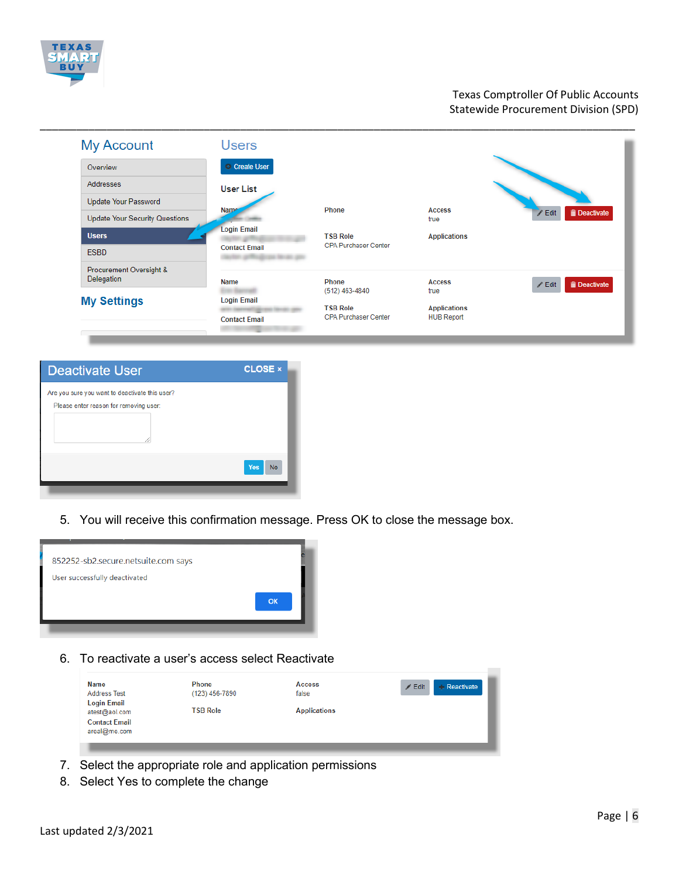

| <b>My Account</b>                     | <b>Users</b>                               |                                                                  |                                                  |                                    |
|---------------------------------------|--------------------------------------------|------------------------------------------------------------------|--------------------------------------------------|------------------------------------|
| Overview                              | Create User                                |                                                                  |                                                  |                                    |
| Addresses                             | <b>User List</b>                           |                                                                  |                                                  |                                    |
| <b>Update Your Password</b>           |                                            |                                                                  |                                                  |                                    |
| <b>Update Your Security Questions</b> | Nam <sub>c</sub>                           | Phone                                                            | <b>Access</b><br>true                            | <b>Deactivate</b><br>/ Edit        |
| <b>Users</b>                          | <b>Login Email</b>                         | <b>TSB Role</b>                                                  | <b>Applications</b>                              |                                    |
| <b>ESBD</b>                           | <b>Contact Email</b>                       | <b>CPA Purchaser Center</b>                                      |                                                  |                                    |
| Procurement Oversight &<br>Delegation | Name                                       | Phone                                                            | <b>Access</b>                                    | <b>Deactivate</b><br>$\angle$ Edit |
| <b>My Settings</b>                    | <b>Login Email</b><br><b>Contact Email</b> | (512) 463-4840<br><b>TSB Role</b><br><b>CPA Purchaser Center</b> | true<br><b>Applications</b><br><b>HUB Report</b> |                                    |

| <b>Deactivate User</b>                                                                   | <b>CLOSE ×</b>   |
|------------------------------------------------------------------------------------------|------------------|
| Are you sure you want to deactivate this user?<br>Please enter reason for removing user: |                  |
|                                                                                          | Yes<br><b>No</b> |

5. You will receive this confirmation message. Press OK to close the message box.



6. To reactivate a user's access select Reactivate

| <b>Name</b>                          | Phone           | <b>Access</b>       | $\angle$ Edit<br><b>Reactivate</b> |
|--------------------------------------|-----------------|---------------------|------------------------------------|
| <b>Address Test</b>                  | (123) 456-7890  | false               |                                    |
| <b>Login Email</b><br>atest@aol.com  | <b>TSB Role</b> | <b>Applications</b> |                                    |
| <b>Contact Email</b><br>areal@me.com |                 |                     |                                    |

- 7. Select the appropriate role and application permissions
- 8. Select Yes to complete the change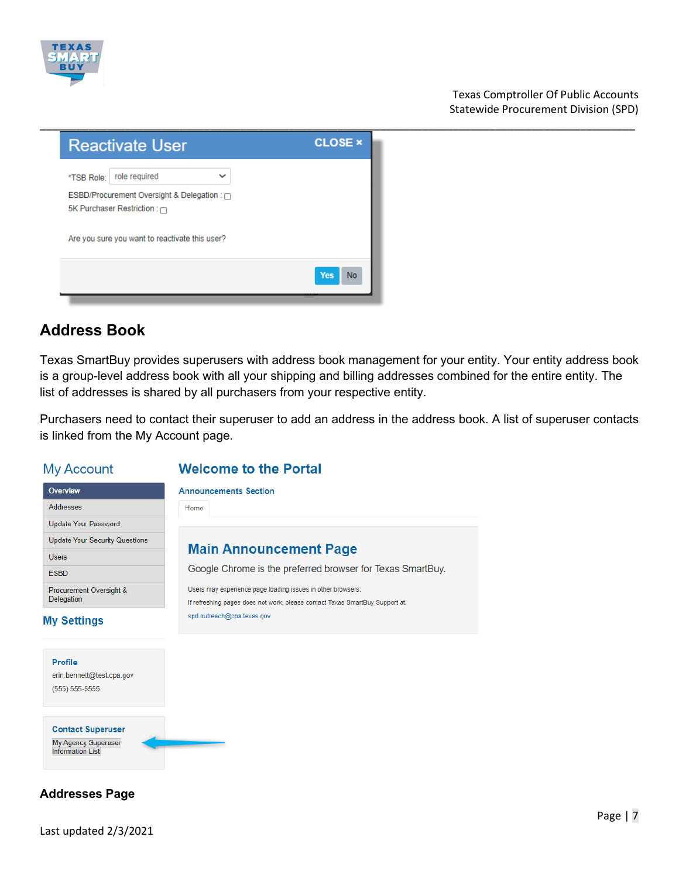



# **Address Book**

Texas SmartBuy provides superusers with address book management for your entity. Your entity address book is a group-level address book with all your shipping and billing addresses combined for the entire entity. The list of addresses is shared by all purchasers from your respective entity.

Purchasers need to contact their superuser to add an address in the address book. A list of superuser contacts is linked from the My Account page.

# **My Account**

**Update Your Password Update Your Security Questions** 

Procurement Oversight &

Overview

Addresses

Users

**ESBD** 

Delegation

**My Settings** 

# **Welcome to the Portal**

**Announcements Section** 

Home

# **Main Announcement Page**

Google Chrome is the preferred browser for Texas SmartBuy.

Users may experience page loading issues in other browsers. If refreshing pages does not work, please contact Texas SmartBuy Support at: spd.outreach@cpa.texas.gov

# **Profile** erin.bennett@test.cpa.gov  $(555) 555-5555$

**Contact Superuser** My Agency Superuser **Information List** 

# **Addresses Page**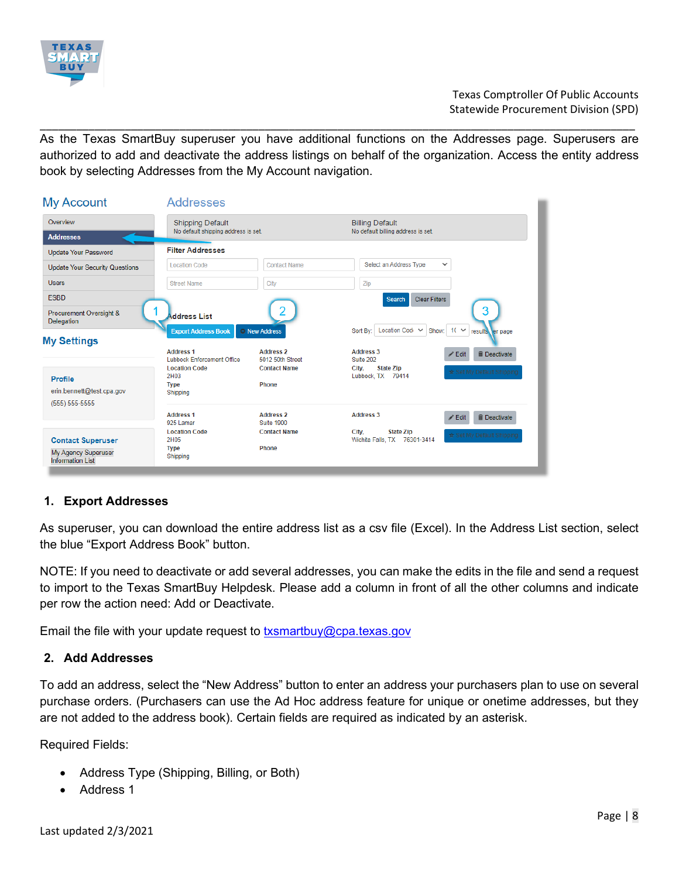

\_\_\_\_\_\_\_\_\_\_\_\_\_\_\_\_\_\_\_\_\_\_\_\_\_\_\_\_\_\_\_\_\_\_\_\_\_\_\_\_\_\_\_\_\_\_\_\_\_\_\_\_\_\_\_\_\_\_\_\_\_\_\_\_\_\_\_\_\_\_\_\_\_\_\_\_\_\_\_\_\_\_\_\_\_\_\_\_\_\_\_\_\_\_\_\_\_\_ As the Texas SmartBuy superuser you have additional functions on the Addresses page. Superusers are authorized to add and deactivate the address listings on behalf of the organization. Access the entity address book by selecting Addresses from the My Account navigation.

| <b>My Account</b>                                                          | Addresses                                               |                                       |                                                                                        |
|----------------------------------------------------------------------------|---------------------------------------------------------|---------------------------------------|----------------------------------------------------------------------------------------|
| Overview                                                                   | <b>Shipping Default</b>                                 |                                       | <b>Billing Default</b>                                                                 |
| <b>Addresses</b>                                                           | No default shipping address is set.                     |                                       | No default billing address is set.                                                     |
| <b>Update Your Password</b>                                                | <b>Filter Addresses</b>                                 |                                       |                                                                                        |
| <b>Update Your Security Questions</b>                                      | <b>Location Code</b>                                    | <b>Contact Name</b>                   | Select an Address Type<br>$\checkmark$                                                 |
| <b>Users</b>                                                               | <b>Street Name</b>                                      | City                                  | Zip                                                                                    |
| <b>ESBD</b>                                                                |                                                         |                                       | <b>Clear Filters</b><br>Search                                                         |
| Procurement Oversight &<br><b>Delegation</b>                               | <b>Address List</b>                                     |                                       | 3                                                                                      |
| <b>My Settings</b>                                                         | <b>Export Address Book</b>                              | <sup>o</sup> New Address              | Location Code V<br>Show: $10 \times$<br>Sort By:<br>results er page                    |
|                                                                            | <b>Address 1</b><br><b>Lubbock Enforcement Office</b>   | <b>Address 2</b><br>5012 50th Street  | <b>Address 3</b><br><b>III</b> Deactivate<br>$\angle$ Edit<br>Suite 202                |
| Profile<br>erin.bennett@test.cpa.gov<br>$(555) 555-5555$                   | <b>Location Code</b><br>2H03<br><b>Type</b><br>Shipping | <b>Contact Name</b><br><b>Phone</b>   | <b>State Zip</b><br>City.<br>★ Set My Default Shipping<br>Lubbock, TX 79414            |
|                                                                            | <b>Address 1</b><br>925 Lamar                           | <b>Address 2</b><br><b>Suite 1900</b> | <b>Address 3</b><br><b>in Deactivate</b><br>$\angle$ Edit                              |
| <b>Contact Superuser</b><br>My Agency Superuser<br><b>Information List</b> | <b>Location Code</b><br>2H05<br><b>Type</b><br>Shipping | <b>Contact Name</b><br><b>Phone</b>   | City,<br><b>State Zip</b><br>☆ Set My Default Shippino<br>Wichita Falls, TX 76301-3414 |

# **1. Export Addresses**

As superuser, you can download the entire address list as a csv file (Excel). In the Address List section, select the blue "Export Address Book" button.

NOTE: If you need to deactivate or add several addresses, you can make the edits in the file and send a request to import to the Texas SmartBuy Helpdesk. Please add a column in front of all the other columns and indicate per row the action need: Add or Deactivate.

Email the file with your update request to  $txs$ martbuy@cpa.texas.gov

## **2. Add Addresses**

To add an address, select the "New Address" button to enter an address your purchasers plan to use on several purchase orders. (Purchasers can use the Ad Hoc address feature for unique or onetime addresses, but they are not added to the address book). Certain fields are required as indicated by an asterisk.

Required Fields:

- Address Type (Shipping, Billing, or Both)
- Address 1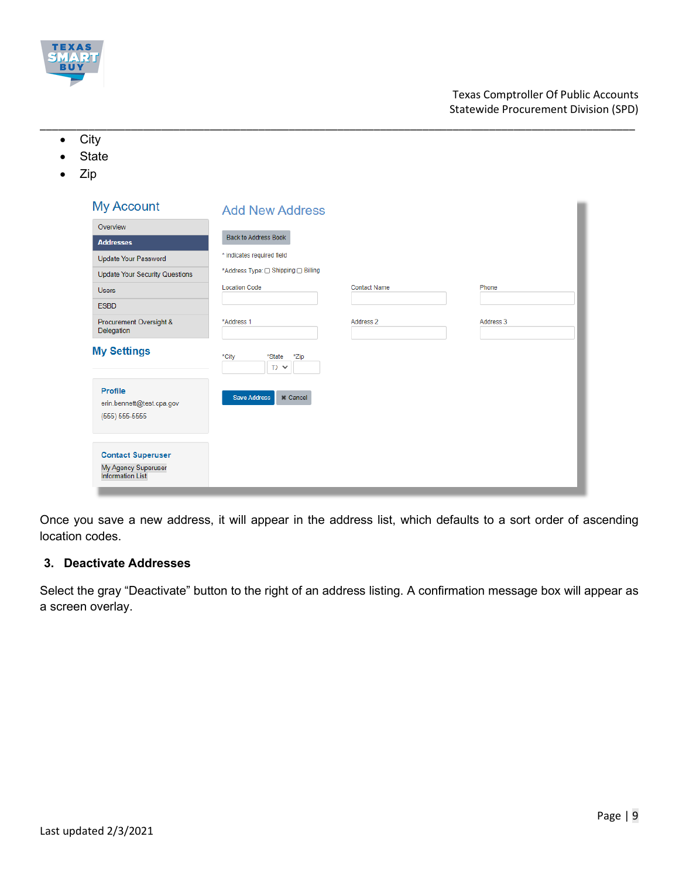

- \_\_\_\_\_\_\_\_\_\_\_\_\_\_\_\_\_\_\_\_\_\_\_\_\_\_\_\_\_\_\_\_\_\_\_\_\_\_\_\_\_\_\_\_\_\_\_\_\_\_\_\_\_\_\_\_\_\_\_\_\_\_\_\_\_\_\_\_\_\_\_\_\_\_\_\_\_\_\_\_\_\_\_\_\_\_\_\_\_\_\_\_\_\_\_\_\_\_ • City
	- **State**
	- Zip

| <b>My Account</b>                                                          | <b>Add New Address</b>                 |                     |           |
|----------------------------------------------------------------------------|----------------------------------------|---------------------|-----------|
| Overview                                                                   |                                        |                     |           |
| <b>Addresses</b>                                                           | <b>Back to Address Book</b>            |                     |           |
| <b>Update Your Password</b>                                                | * indicates required field             |                     |           |
| <b>Update Your Security Questions</b>                                      | *Address Type: O Shipping O Billing    |                     |           |
| <b>Users</b>                                                               | <b>Location Code</b>                   | <b>Contact Name</b> | Phone     |
| <b>ESBD</b>                                                                |                                        |                     |           |
| Procurement Oversight &<br>Delegation                                      | *Address 1                             | Address 2           | Address 3 |
| <b>My Settings</b>                                                         | *City<br>*State<br>*Zip<br>$T$ $\vee$  |                     |           |
| Profile<br>erin.bennett@test.cpa.gov<br>$(555) 555-5555$                   | <b>Save Address</b><br><b>*</b> Cancel |                     |           |
| <b>Contact Superuser</b><br>My Agency Superuser<br><b>Information List</b> |                                        |                     |           |

Once you save a new address, it will appear in the address list, which defaults to a sort order of ascending location codes.

## **3. Deactivate Addresses**

Select the gray "Deactivate" button to the right of an address listing. A confirmation message box will appear as a screen overlay.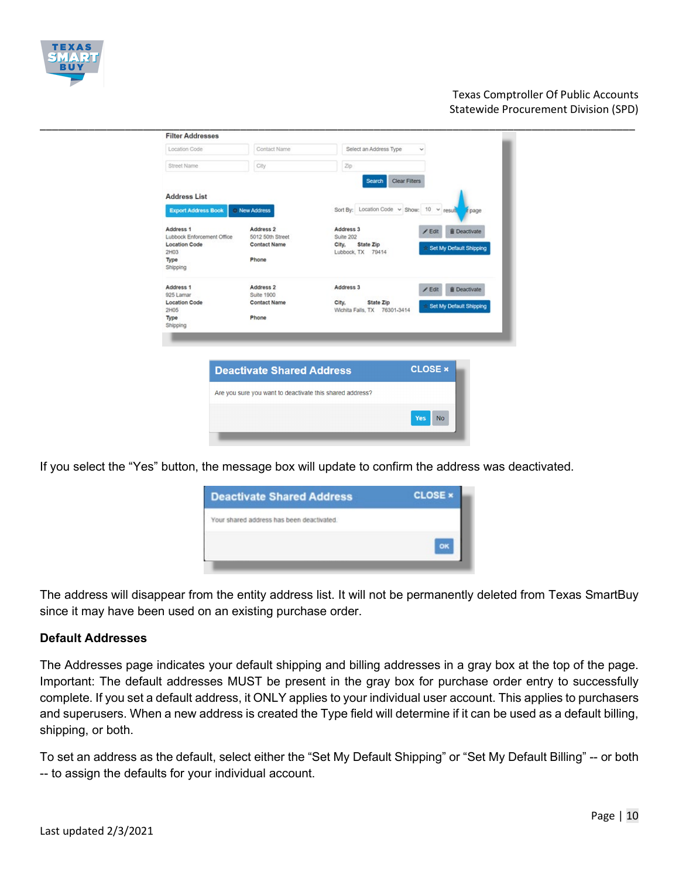

| Location Code                           | Contact Name                      | Select an Address Type                     | $\checkmark$                         |
|-----------------------------------------|-----------------------------------|--------------------------------------------|--------------------------------------|
| Street Name                             | City                              | Zip                                        |                                      |
|                                         |                                   | Clear Filters<br>Search                    |                                      |
| <b>Address List</b>                     |                                   |                                            |                                      |
| <b>Export Address Book</b>              | C New Address                     | Sort By: Location Code v Show: 10 v result | r page                               |
| Address 1<br>Lubbock Enforcement Office | Address 2<br>5012 50th Street     | Address 3<br>Suite 202                     | <b>i</b> Deactivate<br>$\angle$ Edit |
| <b>Location Code</b>                    | <b>Contact Name</b>               | State Zip<br>City,                         | Set My Default Shipping              |
| 2H03<br>Type                            | Phone                             | Lubbock, TX 79414                          |                                      |
| Shipping                                |                                   |                                            |                                      |
| Address 1                               | Address 2                         | Address 3                                  | <b>B</b> Deactivate<br>$Z$ Edit      |
| 925 Lamar<br><b>Location Code</b>       | Suite 1900<br><b>Contact Name</b> | City,<br>State Zip                         |                                      |
| 2H05                                    |                                   | Wichita Falls, TX 76301-3414               | Set My Default Shipping              |
| Type<br>Shipping                        | Phone                             |                                            |                                      |

If you select the "Yes" button, the message box will update to confirm the address was deactivated.

| <b>Deactivate Shared Address</b>          | <b>CLOSE ×</b> |
|-------------------------------------------|----------------|
| Your shared address has been deactivated. |                |
|                                           |                |
|                                           |                |

The address will disappear from the entity address list. It will not be permanently deleted from Texas SmartBuy since it may have been used on an existing purchase order.

#### **Default Addresses**

The Addresses page indicates your default shipping and billing addresses in a gray box at the top of the page. Important: The default addresses MUST be present in the gray box for purchase order entry to successfully complete. If you set a default address, it ONLY applies to your individual user account. This applies to purchasers and superusers. When a new address is created the Type field will determine if it can be used as a default billing, shipping, or both.

To set an address as the default, select either the "Set My Default Shipping" or "Set My Default Billing" -- or both -- to assign the defaults for your individual account.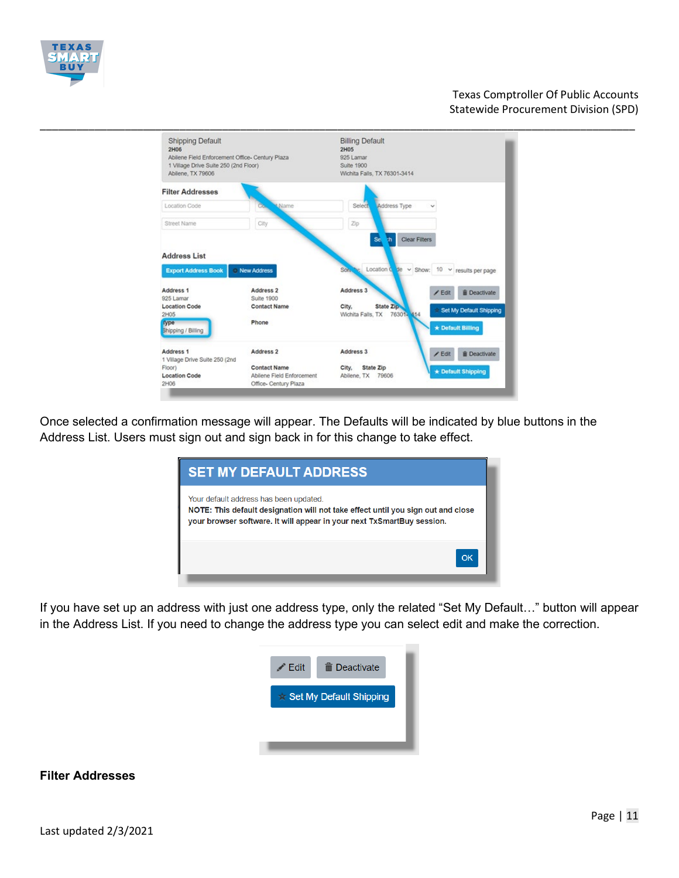



Once selected a confirmation message will appear. The Defaults will be indicated by blue buttons in the Address List. Users must sign out and sign back in for this change to take effect.

| <b>SET MY DEFAULT ADDRESS</b>                                                                                                                                                                        |    |
|------------------------------------------------------------------------------------------------------------------------------------------------------------------------------------------------------|----|
| Your default address has been updated.<br>NOTE: This default designation will not take effect until you sign out and close<br>your browser software. It will appear in your next TxSmartBuy session. |    |
|                                                                                                                                                                                                      | OK |

If you have set up an address with just one address type, only the related "Set My Default…" button will appear in the Address List. If you need to change the address type you can select edit and make the correction.



#### **Filter Addresses**